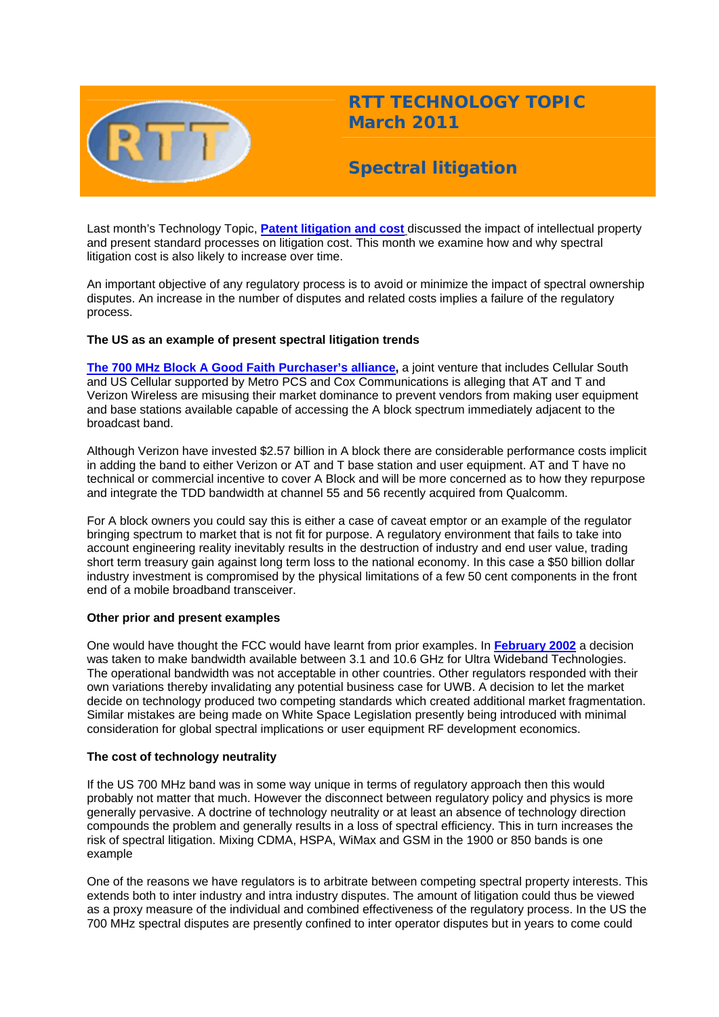

# **RTT TECHNOLOGY TOPIC March 2011**

# **Spectral litigation**

Last month's Technology Topic, **[Patent litigation and cost](http://www.rttonline.com/tt/TT2011_002.pdf)** discussed the impact of intellectual property and present standard processes on litigation cost. This month we examine how and why spectral litigation cost is also likely to increase over time.

An important objective of any regulatory process is to avoid or minimize the impact of spectral ownership disputes. An increase in the number of disputes and related costs implies a failure of the regulatory process.

# **The US as an example of present spectral litigation trends**

**[The 700 MHz Block A Good Faith Purchaser's alliance,](http://ecfsdocs.fcc.gov/filings/2010/04/30/6015588771.html)** a joint venture that includes Cellular South and US Cellular supported by Metro PCS and Cox Communications is alleging that AT and T and Verizon Wireless are misusing their market dominance to prevent vendors from making user equipment and base stations available capable of accessing the A block spectrum immediately adjacent to the broadcast band.

Although Verizon have invested \$2.57 billion in A block there are considerable performance costs implicit in adding the band to either Verizon or AT and T base station and user equipment. AT and T have no technical or commercial incentive to cover A Block and will be more concerned as to how they repurpose and integrate the TDD bandwidth at channel 55 and 56 recently acquired from Qualcomm.

For A block owners you could say this is either a case of caveat emptor or an example of the regulator bringing spectrum to market that is not fit for purpose. A regulatory environment that fails to take into account engineering reality inevitably results in the destruction of industry and end user value, trading short term treasury gain against long term loss to the national economy. In this case a \$50 billion dollar industry investment is compromised by the physical limitations of a few 50 cent components in the front end of a mobile broadband transceiver.

# **Other prior and present examples**

One would have thought the FCC would have learnt from prior examples. In **[February 2002](http://www.fcc.gov/Bureaus/Engineering_Technology/News_Releases/2002/nret0203.html)** a decision was taken to make bandwidth available between 3.1 and 10.6 GHz for Ultra Wideband Technologies. The operational bandwidth was not acceptable in other countries. Other regulators responded with their own variations thereby invalidating any potential business case for UWB. A decision to let the market decide on technology produced two competing standards which created additional market fragmentation. Similar mistakes are being made on White Space Legislation presently being introduced with minimal consideration for global spectral implications or user equipment RF development economics.

# **The cost of technology neutrality**

If the US 700 MHz band was in some way unique in terms of regulatory approach then this would probably not matter that much. However the disconnect between regulatory policy and physics is more generally pervasive. A doctrine of technology neutrality or at least an absence of technology direction compounds the problem and generally results in a loss of spectral efficiency. This in turn increases the risk of spectral litigation. Mixing CDMA, HSPA, WiMax and GSM in the 1900 or 850 bands is one example

One of the reasons we have regulators is to arbitrate between competing spectral property interests. This extends both to inter industry and intra industry disputes. The amount of litigation could thus be viewed as a proxy measure of the individual and combined effectiveness of the regulatory process. In the US the 700 MHz spectral disputes are presently confined to inter operator disputes but in years to come could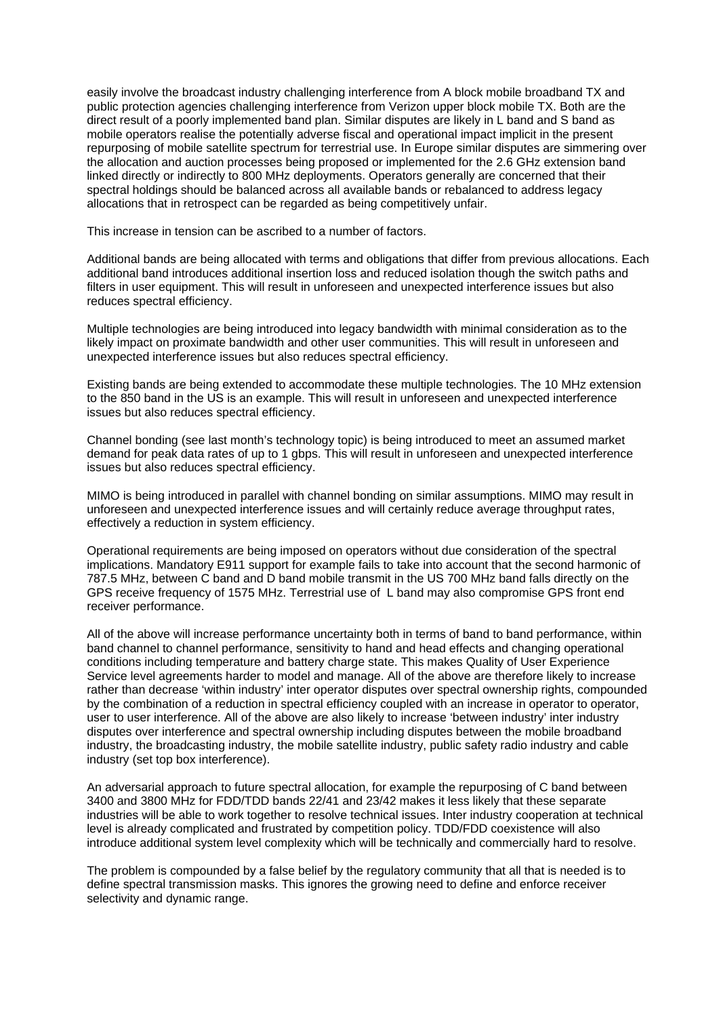easily involve the broadcast industry challenging interference from A block mobile broadband TX and public protection agencies challenging interference from Verizon upper block mobile TX. Both are the direct result of a poorly implemented band plan. Similar disputes are likely in L band and S band as mobile operators realise the potentially adverse fiscal and operational impact implicit in the present repurposing of mobile satellite spectrum for terrestrial use. In Europe similar disputes are simmering over the allocation and auction processes being proposed or implemented for the 2.6 GHz extension band linked directly or indirectly to 800 MHz deployments. Operators generally are concerned that their spectral holdings should be balanced across all available bands or rebalanced to address legacy allocations that in retrospect can be regarded as being competitively unfair.

This increase in tension can be ascribed to a number of factors.

Additional bands are being allocated with terms and obligations that differ from previous allocations. Each additional band introduces additional insertion loss and reduced isolation though the switch paths and filters in user equipment. This will result in unforeseen and unexpected interference issues but also reduces spectral efficiency.

Multiple technologies are being introduced into legacy bandwidth with minimal consideration as to the likely impact on proximate bandwidth and other user communities. This will result in unforeseen and unexpected interference issues but also reduces spectral efficiency.

Existing bands are being extended to accommodate these multiple technologies. The 10 MHz extension to the 850 band in the US is an example. This will result in unforeseen and unexpected interference issues but also reduces spectral efficiency.

Channel bonding (see last month's technology topic) is being introduced to meet an assumed market demand for peak data rates of up to 1 gbps. This will result in unforeseen and unexpected interference issues but also reduces spectral efficiency.

MIMO is being introduced in parallel with channel bonding on similar assumptions. MIMO may result in unforeseen and unexpected interference issues and will certainly reduce average throughput rates, effectively a reduction in system efficiency.

Operational requirements are being imposed on operators without due consideration of the spectral implications. Mandatory E911 support for example fails to take into account that the second harmonic of 787.5 MHz, between C band and D band mobile transmit in the US 700 MHz band falls directly on the GPS receive frequency of 1575 MHz. Terrestrial use of L band may also compromise GPS front end receiver performance.

All of the above will increase performance uncertainty both in terms of band to band performance, within band channel to channel performance, sensitivity to hand and head effects and changing operational conditions including temperature and battery charge state. This makes Quality of User Experience Service level agreements harder to model and manage. All of the above are therefore likely to increase rather than decrease 'within industry' inter operator disputes over spectral ownership rights, compounded by the combination of a reduction in spectral efficiency coupled with an increase in operator to operator, user to user interference. All of the above are also likely to increase 'between industry' inter industry disputes over interference and spectral ownership including disputes between the mobile broadband industry, the broadcasting industry, the mobile satellite industry, public safety radio industry and cable industry (set top box interference).

An adversarial approach to future spectral allocation, for example the repurposing of C band between 3400 and 3800 MHz for FDD/TDD bands 22/41 and 23/42 makes it less likely that these separate industries will be able to work together to resolve technical issues. Inter industry cooperation at technical level is already complicated and frustrated by competition policy. TDD/FDD coexistence will also introduce additional system level complexity which will be technically and commercially hard to resolve.

The problem is compounded by a false belief by the regulatory community that all that is needed is to define spectral transmission masks. This ignores the growing need to define and enforce receiver selectivity and dynamic range.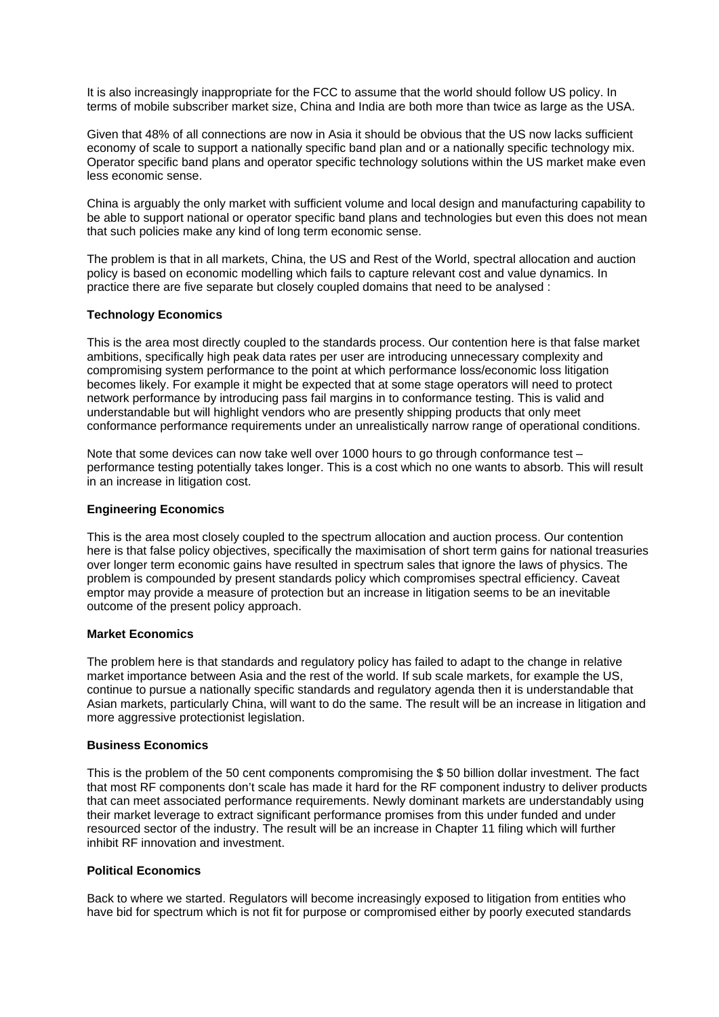It is also increasingly inappropriate for the FCC to assume that the world should follow US policy. In terms of mobile subscriber market size, China and India are both more than twice as large as the USA.

Given that 48% of all connections are now in Asia it should be obvious that the US now lacks sufficient economy of scale to support a nationally specific band plan and or a nationally specific technology mix. Operator specific band plans and operator specific technology solutions within the US market make even less economic sense.

China is arguably the only market with sufficient volume and local design and manufacturing capability to be able to support national or operator specific band plans and technologies but even this does not mean that such policies make any kind of long term economic sense.

The problem is that in all markets, China, the US and Rest of the World, spectral allocation and auction policy is based on economic modelling which fails to capture relevant cost and value dynamics. In practice there are five separate but closely coupled domains that need to be analysed :

## **Technology Economics**

This is the area most directly coupled to the standards process. Our contention here is that false market ambitions, specifically high peak data rates per user are introducing unnecessary complexity and compromising system performance to the point at which performance loss/economic loss litigation becomes likely. For example it might be expected that at some stage operators will need to protect network performance by introducing pass fail margins in to conformance testing. This is valid and understandable but will highlight vendors who are presently shipping products that only meet conformance performance requirements under an unrealistically narrow range of operational conditions.

Note that some devices can now take well over 1000 hours to go through conformance test – performance testing potentially takes longer. This is a cost which no one wants to absorb. This will result in an increase in litigation cost.

## **Engineering Economics**

This is the area most closely coupled to the spectrum allocation and auction process. Our contention here is that false policy objectives, specifically the maximisation of short term gains for national treasuries over longer term economic gains have resulted in spectrum sales that ignore the laws of physics. The problem is compounded by present standards policy which compromises spectral efficiency. Caveat emptor may provide a measure of protection but an increase in litigation seems to be an inevitable outcome of the present policy approach.

## **Market Economics**

The problem here is that standards and regulatory policy has failed to adapt to the change in relative market importance between Asia and the rest of the world. If sub scale markets, for example the US, continue to pursue a nationally specific standards and regulatory agenda then it is understandable that Asian markets, particularly China, will want to do the same. The result will be an increase in litigation and more aggressive protectionist legislation.

## **Business Economics**

This is the problem of the 50 cent components compromising the \$ 50 billion dollar investment. The fact that most RF components don't scale has made it hard for the RF component industry to deliver products that can meet associated performance requirements. Newly dominant markets are understandably using their market leverage to extract significant performance promises from this under funded and under resourced sector of the industry. The result will be an increase in Chapter 11 filing which will further inhibit RF innovation and investment.

# **Political Economics**

Back to where we started. Regulators will become increasingly exposed to litigation from entities who have bid for spectrum which is not fit for purpose or compromised either by poorly executed standards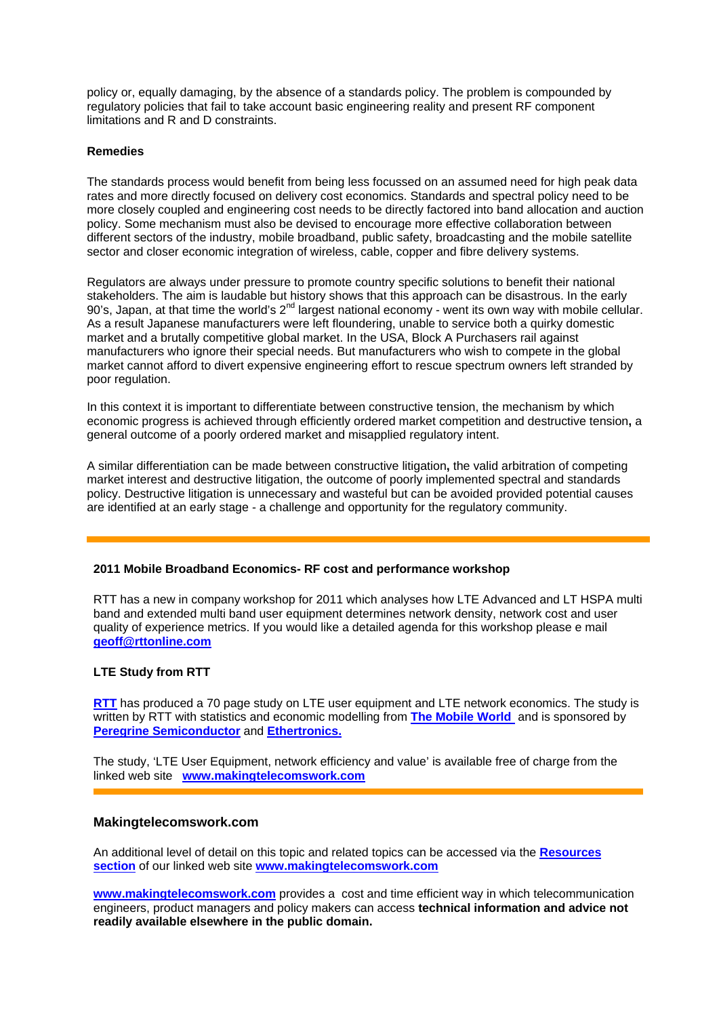policy or, equally damaging, by the absence of a standards policy. The problem is compounded by regulatory policies that fail to take account basic engineering reality and present RF component limitations and R and D constraints.

## **Remedies**

The standards process would benefit from being less focussed on an assumed need for high peak data rates and more directly focused on delivery cost economics. Standards and spectral policy need to be more closely coupled and engineering cost needs to be directly factored into band allocation and auction policy. Some mechanism must also be devised to encourage more effective collaboration between different sectors of the industry, mobile broadband, public safety, broadcasting and the mobile satellite sector and closer economic integration of wireless, cable, copper and fibre delivery systems.

Regulators are always under pressure to promote country specific solutions to benefit their national stakeholders. The aim is laudable but history shows that this approach can be disastrous. In the early 90's, Japan, at that time the world's  $2^{nd}$  largest national economy - went its own way with mobile cellular. As a result Japanese manufacturers were left floundering, unable to service both a quirky domestic market and a brutally competitive global market. In the USA, Block A Purchasers rail against manufacturers who ignore their special needs. But manufacturers who wish to compete in the global market cannot afford to divert expensive engineering effort to rescue spectrum owners left stranded by poor regulation.

In this context it is important to differentiate between constructive tension, the mechanism by which economic progress is achieved through efficiently ordered market competition and destructive tension**,** a general outcome of a poorly ordered market and misapplied regulatory intent.

A similar differentiation can be made between constructive litigation**,** the valid arbitration of competing market interest and destructive litigation, the outcome of poorly implemented spectral and standards policy. Destructive litigation is unnecessary and wasteful but can be avoided provided potential causes are identified at an early stage - a challenge and opportunity for the regulatory community.

## **2011 Mobile Broadband Economics- RF cost and performance workshop**

RTT has a new in company workshop for 2011 which analyses how LTE Advanced and LT HSPA multi band and extended multi band user equipment determines network density, network cost and user quality of experience metrics. If you would like a detailed agenda for this workshop please e mail **[geoff@rttonline.com](mailto:geoff@rttonline.com)**

## **LTE Study from RTT**

**[RTT](http://www.rttonline.com/)** has produced a 70 page study on LTE user equipment and LTE network economics. The study is written by RTT with statistics and economic modelling from **[The Mobile World](http://www.themobileworld.com/)** and is sponsored by **[Peregrine Semiconductor](http://www.peregrine-semi.com/)** and **[Ethertronics.](http://www.ethertronics.com/)**

The study, 'LTE User Equipment, network efficiency and value' is available free of charge from the linked web site **[www.makingtelecomswork.com](http://www.makingtelecomswork.com/)**

## **Makingtelecomswork.com**

An additional level of detail on this topic and related topics can be accessed via the **[Resources](http://www.makingtelecomswork.com/resources.html)  [section](http://www.makingtelecomswork.com/resources.html)** of our linked web site **[www.makingtelecomswork.com](http://www.makingtelecomswork.com/)**

**[www.makingtelecomswork.com](http://www.makingtelecomswork.com/)** provides a cost and time efficient way in which telecommunication engineers, product managers and policy makers can access **technical information and advice not readily available elsewhere in the public domain.**